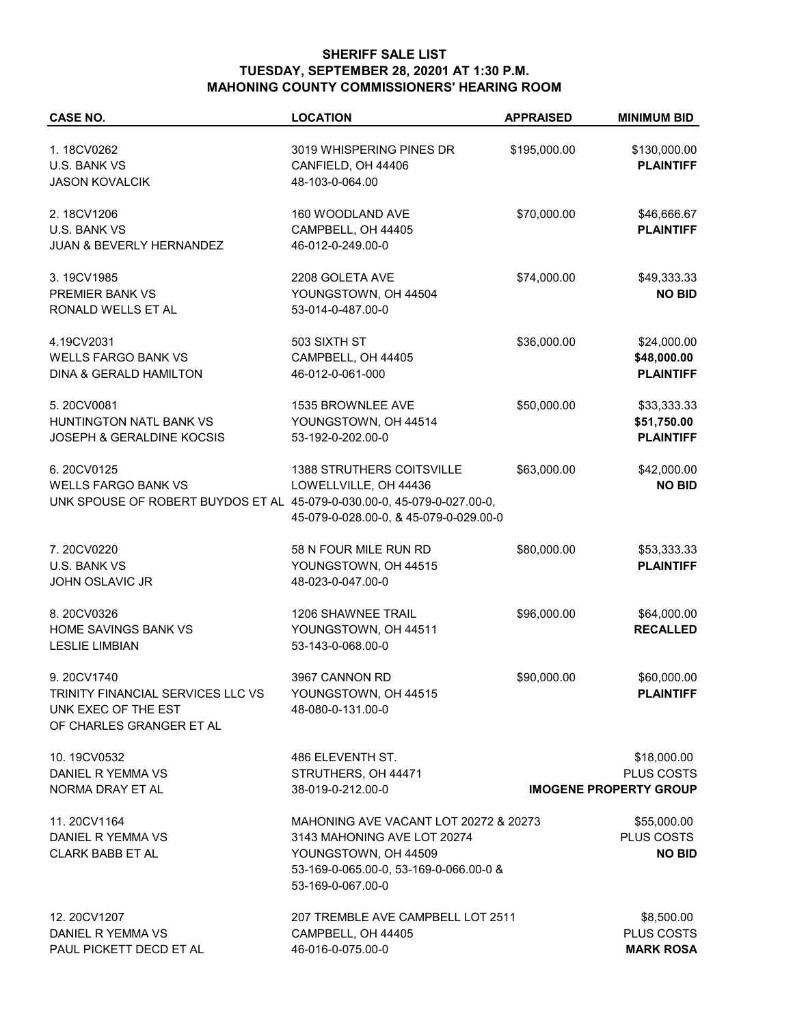## **SHERIFF SALE LIST TUESDAY, SEPTEMBER 28, 20201 AT 1:30 P.M. MAHONING COUNTY COMMISSIONERS' HEARING ROOM**

| <b>CASE NO.</b>                                                         | <b>LOCATION</b>                                             | <b>APPRAISED</b> | <b>MINIMUM BID</b>            |
|-------------------------------------------------------------------------|-------------------------------------------------------------|------------------|-------------------------------|
| 1.18CV0262                                                              | 3019 WHISPERING PINES DR                                    | \$195,000.00     | \$130,000.00                  |
| U.S. BANK VS                                                            | CANFIELD, OH 44406                                          |                  | <b>PLAINTIFF</b>              |
| <b>JASON KOVALCIK</b>                                                   | 48-103-0-064.00                                             |                  |                               |
| 2.18CV1206                                                              | 160 WOODLAND AVE                                            | \$70,000.00      | \$46,666.67                   |
| U.S. BANK VS                                                            | CAMPBELL, OH 44405                                          |                  | <b>PLAINTIFF</b>              |
| JUAN & BEVERLY HERNANDEZ                                                | 46-012-0-249.00-0                                           |                  |                               |
| 3.19CV1985                                                              | 2208 GOLETA AVE                                             | \$74,000.00      | \$49,333.33                   |
| PREMIER BANK VS                                                         | YOUNGSTOWN, OH 44504                                        |                  | <b>NO BID</b>                 |
| RONALD WELLS ET AL                                                      | 53-014-0-487.00-0                                           |                  |                               |
| 4.19CV2031                                                              | 503 SIXTH ST                                                | \$36,000.00      | \$24,000.00                   |
| <b>WELLS FARGO BANK VS</b>                                              | CAMPBELL, OH 44405                                          |                  | \$48,000.00                   |
| DINA & GERALD HAMILTON                                                  | 46-012-0-061-000                                            |                  | <b>PLAINTIFF</b>              |
| 5.20CV0081                                                              | 1535 BROWNLEE AVE                                           | \$50,000.00      | \$33,333.33                   |
| HUNTINGTON NATL BANK VS                                                 | YOUNGSTOWN, OH 44514                                        |                  | \$51,750.00                   |
| <b>JOSEPH &amp; GERALDINE KOCSIS</b>                                    | 53-192-0-202.00-0                                           |                  | <b>PLAINTIFF</b>              |
| 6.20CV0125                                                              | <b>1388 STRUTHERS COITSVILLE</b>                            | \$63,000.00      | \$42,000.00                   |
| <b>WELLS FARGO BANK VS</b>                                              | LOWELLVILLE, OH 44436                                       |                  | <b>NO BID</b>                 |
| UNK SPOUSE OF ROBERT BUYDOS ET AL 45-079-0-030.00-0, 45-079-0-027.00-0, |                                                             |                  |                               |
|                                                                         | 45-079-0-028.00-0, & 45-079-0-029.00-0                      |                  |                               |
| 7.20CV0220                                                              | 58 N FOUR MILE RUN RD                                       | \$80,000.00      | \$53,333.33                   |
| U.S. BANK VS                                                            | YOUNGSTOWN, OH 44515                                        |                  | <b>PLAINTIFF</b>              |
| <b>JOHN OSLAVIC JR</b>                                                  | 48-023-0-047.00-0                                           |                  |                               |
| 8.20CV0326                                                              | <b>1206 SHAWNEE TRAIL</b>                                   | \$96,000.00      | \$64,000.00                   |
| HOME SAVINGS BANK VS                                                    | YOUNGSTOWN, OH 44511                                        |                  | <b>RECALLED</b>               |
| <b>LESLIE LIMBIAN</b>                                                   | 53-143-0-068.00-0                                           |                  |                               |
| 9.20CV1740                                                              | 3967 CANNON RD                                              | \$90,000.00      | \$60,000.00                   |
| TRINITY FINANCIAL SERVICES LLC VS                                       | YOUNGSTOWN, OH 44515                                        |                  | <b>PLAINTIFF</b>              |
| UNK EXEC OF THE EST<br>OF CHARLES GRANGER ET AL                         | 48-080-0-131.00-0                                           |                  |                               |
|                                                                         |                                                             |                  |                               |
| 10.19CV0532                                                             | 486 ELEVENTH ST.                                            |                  | \$18,000.00                   |
| DANIEL R YEMMA VS                                                       | STRUTHERS, OH 44471                                         |                  | PLUS COSTS                    |
| NORMA DRAY ET AL                                                        | 38-019-0-212.00-0                                           |                  | <b>IMOGENE PROPERTY GROUP</b> |
| 11.20CV1164                                                             | MAHONING AVE VACANT LOT 20272 & 20273                       |                  | \$55,000.00                   |
| DANIEL R YEMMA VS                                                       | 3143 MAHONING AVE LOT 20274                                 |                  | PLUS COSTS                    |
| <b>CLARK BABB ET AL</b>                                                 | YOUNGSTOWN, OH 44509                                        |                  | <b>NO BID</b>                 |
|                                                                         | 53-169-0-065.00-0, 53-169-0-066.00-0 &<br>53-169-0-067.00-0 |                  |                               |
| 12.20CV1207                                                             | 207 TREMBLE AVE CAMPBELL LOT 2511                           |                  | \$8,500.00                    |
| DANIEL R YEMMA VS                                                       | CAMPBELL, OH 44405                                          |                  | PLUS COSTS                    |
| PAUL PICKETT DECD ET AL                                                 | 46-016-0-075.00-0                                           |                  | <b>MARK ROSA</b>              |